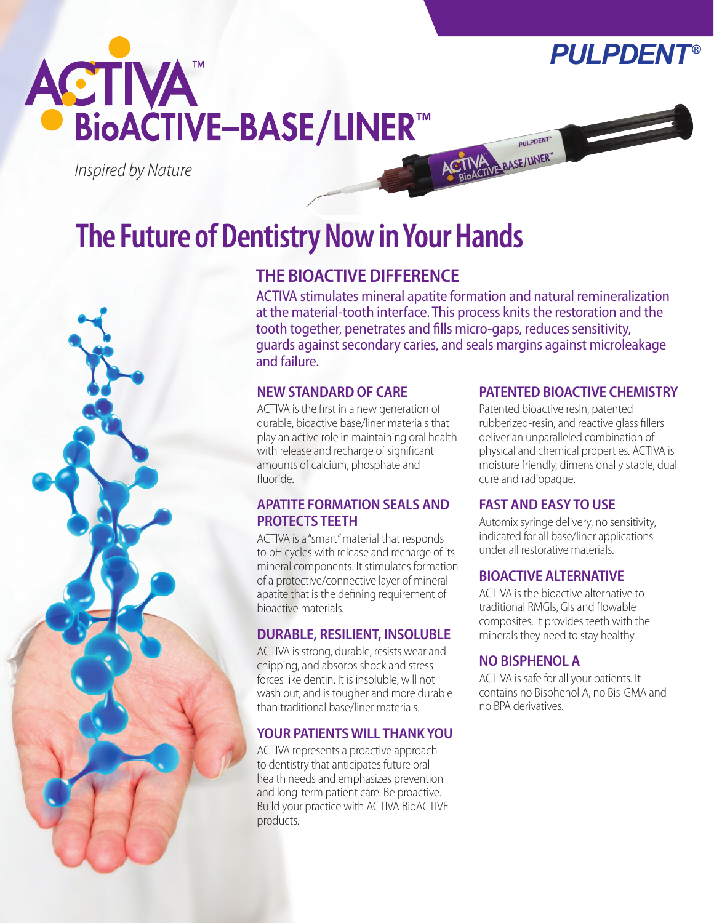



*Inspired by Nature*

# **The Future of Dentistry Now in Your Hands**



# **THE BIOACTIVE DIFFERENCE**

ACTIVA stimulates mineral apatite formation and natural remineralization at the material-tooth interface. This process knits the restoration and the tooth together, penetrates and fills micro-gaps, reduces sensitivity, guards against secondary caries, and seals margins against microleakage and failure.

## **NEW STANDARD OF CARE**

ACTIVA is the first in a new generation of durable, bioactive base/liner materials that play an active role in maintaining oral health with release and recharge of significant amounts of calcium, phosphate and fluoride.

## **APATITE FORMATION SEALS AND PROTECTS TEETH**

ACTIVA is a "smart" material that responds to pH cycles with release and recharge of its mineral components. It stimulates formation of a protective/connective layer of mineral apatite that is the defining requirement of bioactive materials.

# **DURABLE, RESILIENT, INSOLUBLE**

ACTIVA is strong, durable, resists wear and chipping, and absorbs shock and stress forces like dentin. It is insoluble, will not wash out, and is tougher and more durable than traditional base/liner materials.

# **YOUR PATIENTS WILL THANK YOU**

ACTIVA represents a proactive approach to dentistry that anticipates future oral health needs and emphasizes prevention and long-term patient care. Be proactive. Build your practice with ACTIVA BioACTIVE products.

## **PATENTED BIOACTIVE CHEMISTRY**

Patented bioactive resin, patented rubberized-resin, and reactive glass fillers deliver an unparalleled combination of physical and chemical properties. ACTIVA is moisture friendly, dimensionally stable, dual cure and radiopaque.

## **FAST AND EASY TO USE**

**PULPDENT®** 

ACTIVATIVE BASE/LINER"

Automix syringe delivery, no sensitivity, indicated for all base/liner applications under all restorative materials.

# **BIOACTIVE ALTERNATIVE**

ACTIVA is the bioactive alternative to traditional RMGIs, GIs and flowable composites. It provides teeth with the minerals they need to stay healthy.

# **NO BISPHENOL A**

ACTIVA is safe for all your patients. It contains no Bisphenol A, no Bis-GMA and no BPA derivatives.